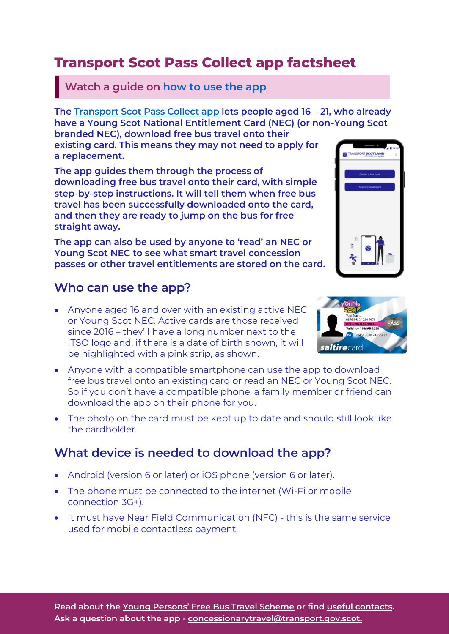# **Transport Scot Pass Collect app factsheet**

#### **Watch a guide on [how to use the app](https://www.youtube.com/watch?v=TDHtISzmwk0)**

**The [Transport Scot Pass Collect app](https://www.transport.gov.scot/concessionary-travel/young-persons-free-bus-travel-scheme/#70015) lets people aged 16 – 21, who already have a Young Scot National Entitlement Card (NEC) (or non-Young Scot** 

**branded NEC), download free bus travel onto their existing card. This means they may not need to apply for a replacement.**

**The app guides them through the process of downloading free bus travel onto their card, with simple step-by-step instructions. It will tell them when free bus travel has been successfully downloaded onto the card, and then they are ready to jump on the bus for free straight away.**

**The app can also be used by anyone to 'read' an NEC or Young Scot NEC to see what smart travel concession passes or other travel entitlements are stored on the card.**

#### **Who can use the app?**

- Anyone aged 16 and over with an existing active NEC or Young Scot NEC. Active cards are those received since 2016 – they'll have a long number next to the ITSO logo and, if there is a date of birth shown, it will be highlighted with a pink strip, as shown.
- Anyone with a compatible smartphone can use the app to download free bus travel onto an existing card or read an NEC or Young Scot NEC. So if you don't have a compatible phone, a family member or friend can download the app on their phone for you.
- The photo on the card must be kept up to date and should still look like the cardholder.

### **What device is needed to download the app?**

- Android (version 6 or later) or iOS phone (version 6 or later).
- The phone must be connected to the internet (Wi-Fi or mobile connection 3G+).
- **It must have Near Field Communication (NFC) this is the same service** used for mobile contactless payment.





**RANSPORT SCOTLAND**